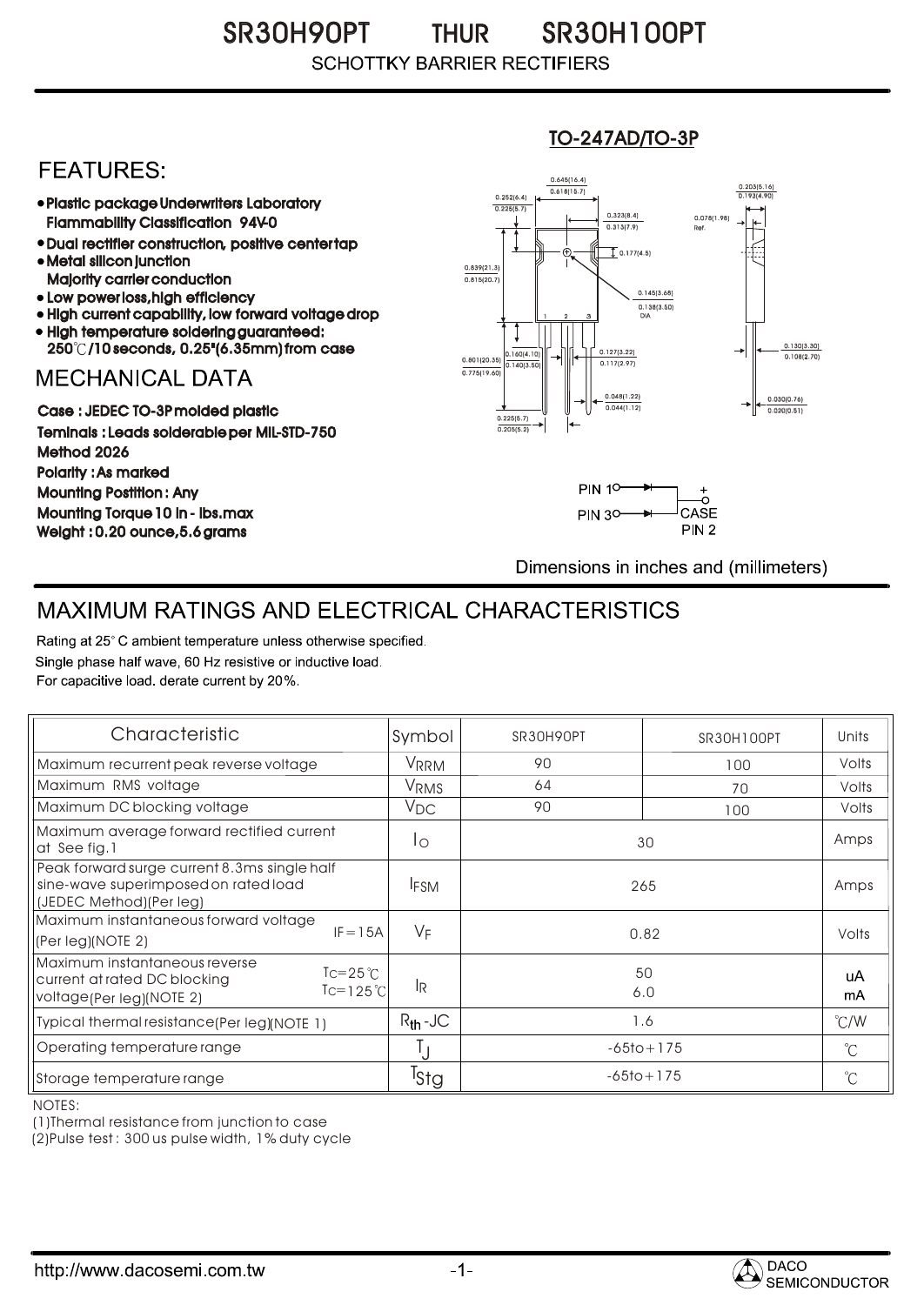#### SR30H90PT THUR SR30H100PT **THUR SCHOTTKY BARRIER RECTIFIERS**

## **FEATURES:**

- Plastic package Underwriters Laboratory Flammability Classification 94V-0
- Dual rectifier construction, positive center tap Metal silicon junction
- Majority carrier conduction
- Low power loss, high efficiency
- High current capability, low forward voltage drop • High temperature soldering guaranteed:
- 250 /10 seconds, 0.25"(6.35mm) from case

### **MECHANICAL DATA**

Case : JEDEC TO-3P molded plastic Teminals : Leads solderable per MIL-STD-750 Method 2026 Polarity : As marked Mounting Postition : Any Mounting Torque 10 in - lbs.max Weight : 0.20 ounce,5.6 grams

#### 0.160(4.10)  $0.140(3)$ 0.127(3.22) 0.117(2.97) 0.030(0.76) 0.020(0.51) 0.801(20.35) 0.138(3.50) 0.145(3.68) 0.775(19.60) 0.839(21.3)<br>0.815(20.7) 0.252(6.4) 0.225(5.7)  $0.618(15.7)$ 0.645(16.4) 0.203(5.16) 0.193(4.90) 1 2 3 DIA  $\overline{1}$  0.177(4.5) 0.078(1.98) Ref. 0.130(3.30)<br>0.108(2.70) 0.225(5.7) 0.205(5.2)  $0.313(7.9)$ 0.323(8.4) 0.048(1.22) 0.044(1.12)

TO-247AD/TO-3P



Dimensions in inches and (millimeters)

# MAXIMUM RATINGS AND ELECTRICAL CHARACTERISTICS

Rating at 25° C ambient temperature unless otherwise specified. Single phase half wave, 60 Hz resistive or inductive load. For capacitive load, derate current by 20%.

| Characteristic                                                                                                                       | Symbol           | SR30H90PT      | SR30H100PT | Units         |
|--------------------------------------------------------------------------------------------------------------------------------------|------------------|----------------|------------|---------------|
| Maximum recurrent peak reverse voltage                                                                                               | VRRM             | 90             | 100        | Volts         |
| Maximum RMS voltage                                                                                                                  | V <sub>RMS</sub> | 64             | 70         | Volts         |
| Maximum DC blocking voltage                                                                                                          | $V_{DC}$         | 90             | 100        | Volts         |
| Maximum average forward rectified current<br>at See fig. 1                                                                           | $\overline{1}$   | 30             |            | Amps          |
| Peak forward surge current 8.3ms single half<br>sine-wave superimposed on rated load<br>(JEDEC Method)(Per leg)                      | <b>IFSM</b>      | 265            |            | Amps          |
| Maximum instantaneous forward voltage<br>$IF = 15A$<br>(Per leg)(NOTE 2)                                                             | $V_F$            | 0.82           |            | Volts         |
| Maximum instantaneous reverse<br>$Tc = 25^{\circ}C$<br>current at rated DC blocking<br>$Tc=125^{\circ}C$<br>voltage(Per leg)(NOTE 2) | <b>IR</b>        | 50<br>6.0      |            | uA<br>mA      |
| Typical thermal resistance (Per leg) (NOTE 1)                                                                                        | $R_{th}$ -JC     | 1.6            |            | $\degree$ C/W |
| Operating temperature range                                                                                                          |                  | $-65$ to + 175 |            | $^{\circ}C$   |
| Storage temperature range                                                                                                            | <sup>I</sup> Stg | $-65$ to + 175 |            | $^{\circ}C$   |

NOTES:

(1)Thermal resistance from junction to case

(2)Pulse test : 300 us pulse width, 1% duty cycle